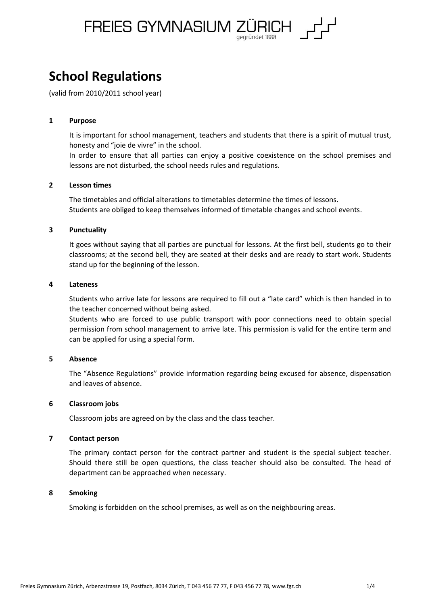

# **School Regulations**

(valid from 2010/2011 school year)

# **1 Purpose**

It is important for school management, teachers and students that there is a spirit of mutual trust, honesty and "joie de vivre" in the school.

In order to ensure that all parties can enjoy a positive coexistence on the school premises and lessons are not disturbed, the school needs rules and regulations.

# **2 Lesson times**

The timetables and official alterations to timetables determine the times of lessons. Students are obliged to keep themselves informed of timetable changes and school events.

# **3 Punctuality**

It goes without saying that all parties are punctual for lessons. At the first bell, students go to their classrooms; at the second bell, they are seated at their desks and are ready to start work. Students stand up for the beginning of the lesson.

# **4 Lateness**

Students who arrive late for lessons are required to fill out a "late card" which is then handed in to the teacher concerned without being asked.

Students who are forced to use public transport with poor connections need to obtain special permission from school management to arrive late. This permission is valid for the entire term and can be applied for using a special form.

# **5 Absence**

The "Absence Regulations" provide information regarding being excused for absence, dispensation and leaves of absence.

# **6 Classroom jobs**

Classroom jobs are agreed on by the class and the class teacher.

#### **7 Contact person**

The primary contact person for the contract partner and student is the special subject teacher. Should there still be open questions, the class teacher should also be consulted. The head of department can be approached when necessary.

# **8 Smoking**

Smoking is forbidden on the school premises, as well as on the neighbouring areas.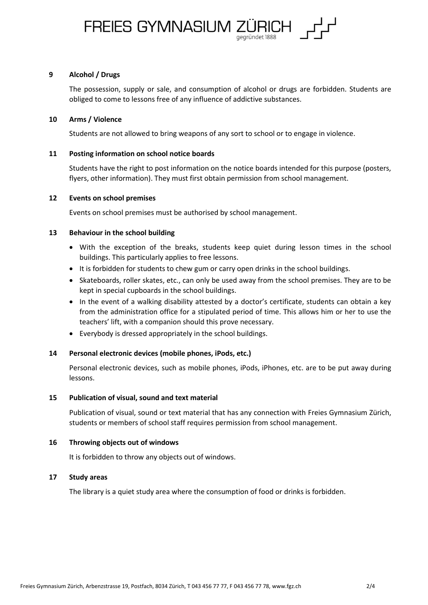

# **9 Alcohol / Drugs**

The possession, supply or sale, and consumption of alcohol or drugs are forbidden. Students are obliged to come to lessons free of any influence of addictive substances.

#### **10 Arms / Violence**

Students are not allowed to bring weapons of any sort to school or to engage in violence.

# **11 Posting information on school notice boards**

Students have the right to post information on the notice boards intended for this purpose (posters, flyers, other information). They must first obtain permission from school management.

#### **12 Events on school premises**

Events on school premises must be authorised by school management.

# **13 Behaviour in the school building**

- With the exception of the breaks, students keep quiet during lesson times in the school buildings. This particularly applies to free lessons.
- It is forbidden for students to chew gum or carry open drinks in the school buildings.
- Skateboards, roller skates, etc., can only be used away from the school premises. They are to be kept in special cupboards in the school buildings.
- In the event of a walking disability attested by a doctor's certificate, students can obtain a key from the administration office for a stipulated period of time. This allows him or her to use the teachers' lift, with a companion should this prove necessary.
- Everybody is dressed appropriately in the school buildings.

# **14 Personal electronic devices (mobile phones, iPods, etc.)**

Personal electronic devices, such as mobile phones, iPods, iPhones, etc. are to be put away during lessons.

# **15 Publication of visual, sound and text material**

Publication of visual, sound or text material that has any connection with Freies Gymnasium Zürich, students or members of school staff requires permission from school management.

#### **16 Throwing objects out of windows**

It is forbidden to throw any objects out of windows.

#### **17 Study areas**

The library is a quiet study area where the consumption of food or drinks is forbidden.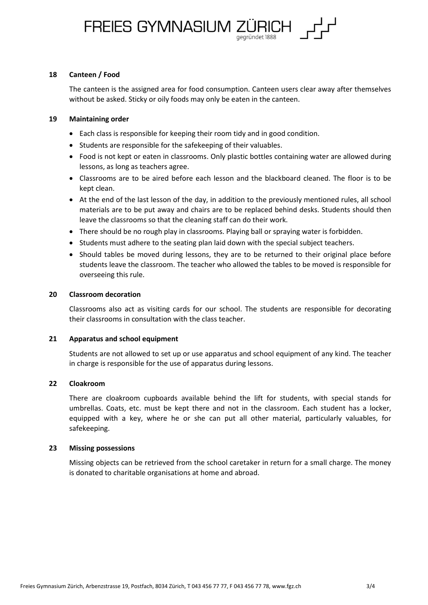# FREIES GYMNASIUM ZÜRICH,

# **18 Canteen / Food**

The canteen is the assigned area for food consumption. Canteen users clear away after themselves without be asked. Sticky or oily foods may only be eaten in the canteen.

# **19 Maintaining order**

- Each class is responsible for keeping their room tidy and in good condition.
- Students are responsible for the safekeeping of their valuables.
- Food is not kept or eaten in classrooms. Only plastic bottles containing water are allowed during lessons, as long as teachers agree.
- Classrooms are to be aired before each lesson and the blackboard cleaned. The floor is to be kept clean.
- At the end of the last lesson of the day, in addition to the previously mentioned rules, all school materials are to be put away and chairs are to be replaced behind desks. Students should then leave the classrooms so that the cleaning staff can do their work.
- There should be no rough play in classrooms. Playing ball or spraying water is forbidden.
- Students must adhere to the seating plan laid down with the special subject teachers.
- Should tables be moved during lessons, they are to be returned to their original place before students leave the classroom. The teacher who allowed the tables to be moved is responsible for overseeing this rule.

# **20 Classroom decoration**

Classrooms also act as visiting cards for our school. The students are responsible for decorating their classrooms in consultation with the class teacher.

# **21 Apparatus and school equipment**

Students are not allowed to set up or use apparatus and school equipment of any kind. The teacher in charge is responsible for the use of apparatus during lessons.

# **22 Cloakroom**

There are cloakroom cupboards available behind the lift for students, with special stands for umbrellas. Coats, etc. must be kept there and not in the classroom. Each student has a locker, equipped with a key, where he or she can put all other material, particularly valuables, for safekeeping.

#### **23 Missing possessions**

Missing objects can be retrieved from the school caretaker in return for a small charge. The money is donated to charitable organisations at home and abroad.